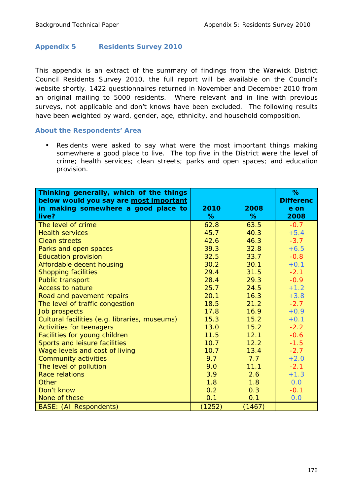## **Appendix 5 Residents Survey 2010**

This appendix is an extract of the summary of findings from the Warwick District Council Residents Survey 2010, the full report will be available on the Council's website shortly. 1422 questionnaires returned in November and December 2010 from an original mailing to 5000 residents. Where relevant and in line with previous surveys, not applicable and don't knows have been excluded. The following results have been weighted by ward, gender, age, ethnicity, and household composition.

## **About the Respondents' Area**

 Residents were asked to say what were the most important things making somewhere a good place to live. The top five in the District were the level of crime; health services; clean streets; parks and open spaces; and education provision.

| Thinking generally, which of the things<br>below would you say are most important<br>in making somewhere a good place to<br>live? | 2010<br>% | 2008<br>% | %<br><b>Differenc</b><br>e on<br>2008 |
|-----------------------------------------------------------------------------------------------------------------------------------|-----------|-----------|---------------------------------------|
| The level of crime                                                                                                                | 62.8      | 63.5      | $-0.7$                                |
| <b>Health services</b>                                                                                                            | 45.7      | 40.3      | $+5.4$                                |
| <b>Clean streets</b>                                                                                                              | 42.6      | 46.3      | $-3.7$                                |
|                                                                                                                                   |           |           |                                       |
| Parks and open spaces                                                                                                             | 39.3      | 32.8      | $+6.5$                                |
| <b>Education provision</b>                                                                                                        | 32.5      | 33.7      | $-0.8$                                |
| Affordable decent housing                                                                                                         | 30.2      | 30.1      | $+0.1$                                |
| <b>Shopping facilities</b>                                                                                                        | 29.4      | 31.5      | $-2.1$                                |
| Public transport                                                                                                                  | 28.4      | 29.3      | $-0.9$                                |
| <b>Access to nature</b>                                                                                                           | 25.7      | 24.5      | $+1.2$                                |
| Road and pavement repairs                                                                                                         | 20.1      | 16.3      | $+3.8$                                |
| The level of traffic congestion                                                                                                   | 18.5      | 21.2      | $-2.7$                                |
| <b>Job prospects</b>                                                                                                              | 17.8      | 16.9      | $+0.9$                                |
| Cultural facilities (e.g. libraries, museums)                                                                                     | 15.3      | 15.2      | $+0.1$                                |
| <b>Activities for teenagers</b>                                                                                                   | 13.0      | 15.2      | $-2.2$                                |
| Facilities for young children                                                                                                     | 11.5      | 12.1      | $-0.6$                                |
| Sports and leisure facilities                                                                                                     | 10.7      | 12.2      | $-1.5$                                |
| Wage levels and cost of living                                                                                                    | 10.7      | 13.4      | $-2.7$                                |
| <b>Community activities</b>                                                                                                       | 9.7       | 7.7       | $+2.0$                                |
| The level of pollution                                                                                                            | 9.0       | 11.1      | $-2.1$                                |
| <b>Race relations</b>                                                                                                             | 3.9       | 2.6       | $+1.3$                                |
| Other                                                                                                                             | 1.8       | 1.8       | 0.0                                   |
| Don't know                                                                                                                        | 0.2       | 0.3       | $-0.1$                                |
| None of these                                                                                                                     | 0.1       | 0.1       | 0.0                                   |
| <b>BASE:</b> (All Respondents)                                                                                                    | (1252)    | (1467)    |                                       |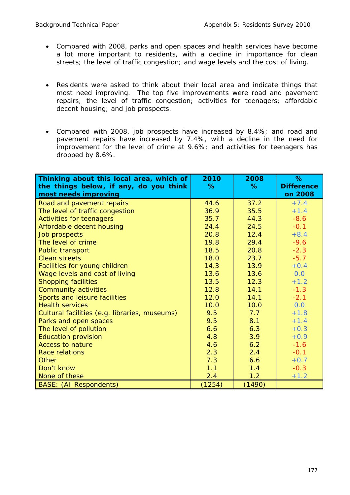- Compared with 2008, parks and open spaces and health services have become a lot more important to residents, with a decline in importance for clean streets; the level of traffic congestion; and wage levels and the cost of living.
- Residents were asked to think about their local area and indicate things that most need improving. The top five improvements were road and pavement repairs; the level of traffic congestion; activities for teenagers; affordable decent housing; and job prospects.
- Compared with 2008, job prospects have increased by 8.4%; and road and pavement repairs have increased by 7.4%, with a decline in the need for improvement for the level of crime at 9.6%; and activities for teenagers has dropped by 8.6%.

| Thinking about this local area, which of<br>the things below, if any, do you think | 2010<br>% | 2008<br>% | %<br><b>Difference</b> |
|------------------------------------------------------------------------------------|-----------|-----------|------------------------|
| most needs improving                                                               |           |           | on 2008                |
| Road and pavement repairs                                                          | 44.6      | 37.2      | $+7.4$                 |
| The level of traffic congestion                                                    | 36.9      | 35.5      | $+1.4$                 |
| <b>Activities for teenagers</b>                                                    | 35.7      | 44.3      | $-8.6$                 |
| Affordable decent housing                                                          | 24.4      | 24.5      | $-0.1$                 |
| Job prospects                                                                      | 20.8      | 12.4      | $+8.4$                 |
| The level of crime                                                                 | 19.8      | 29.4      | $-9.6$                 |
| Public transport                                                                   | 18.5      | 20.8      | $-2.3$                 |
| <b>Clean streets</b>                                                               | 18.0      | 23.7      | $-5.7$                 |
| Facilities for young children                                                      | 14.3      | 13.9      | $+0.4$                 |
| Wage levels and cost of living                                                     | 13.6      | 13.6      | 0.0                    |
| <b>Shopping facilities</b>                                                         | 13.5      | 12.3      | $+1.2$                 |
| Community activities                                                               | 12.8      | 14.1      | $-1.3$                 |
| Sports and leisure facilities                                                      | 12.0      | 14.1      | $-2.1$                 |
| <b>Health services</b>                                                             | 10.0      | 10.0      | 0.0                    |
| Cultural facilities (e.g. libraries, museums)                                      | 9.5       | 7.7       | $+1.8$                 |
| Parks and open spaces                                                              | 9.5       | 8.1       | $+1.4$                 |
| The level of pollution                                                             | 6.6       | 6.3       | $+0.3$                 |
| <b>Education provision</b>                                                         | 4.8       | 3.9       | $+0.9$                 |
| <b>Access to nature</b>                                                            | 4.6       | 6.2       | $-1.6$                 |
| <b>Race relations</b>                                                              | 2.3       | 2.4       | $-0.1$                 |
| Other                                                                              | 7.3       | 6.6       | $+0.7$                 |
| Don't know                                                                         | 1.1       | 1.4       | $-0.3$                 |
| None of these                                                                      | 2.4       | 1.2       | $+1.2$                 |
| <b>BASE:</b> (All Respondents)                                                     | (1254)    | (1490)    |                        |